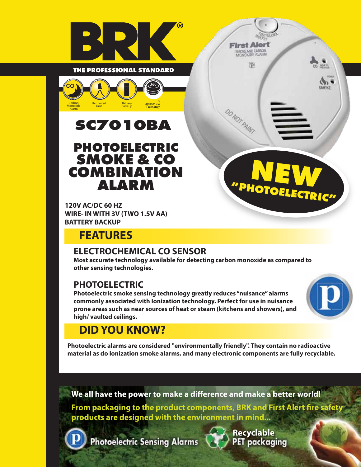



# **SC7010BA**

### **PHOTOELECTRIC SMOKE & CO COMBINATION ALARM**

**120V AC/DC 60 HZ WIRE- IN WITH 3V (TWO 1.5V AA) BATTERY BACKUP**

## **FEATURES**

### **ELECTROCHEMICAL CO SENSOR**

**Most accurate technology available for detecting carbon monoxide as compared to other sensing technologies.**

### **PHOTOELECTRIC**

**Photoelectric smoke sensing technology greatly reduces "nuisance" alarms commonly associated with Ionization technology. Perfect for use in nuisance prone areas such as near sources of heat or steam (kitchens and showers), and high/ vaulted ceilings.**



**"PHOTOELECTRIC"**

**NEW**

**First Alert** SMOKE AND CARBON

 $\overline{q}$ 

DO NOT PAINT

## **DID YOU KNOW?**

**Photoelectric alarms are considered "environmentally friendly". They contain no radioactive material as do Ionization smoke alarms, and many electronic components are fully recyclable.**

We all have the power to make a difference and make a better world!

From packaging to the product components, BRK and First Alert fire safety products are designed with the environment in mind...

**Photoelectric Sensing Alarms** 



**Recyclable**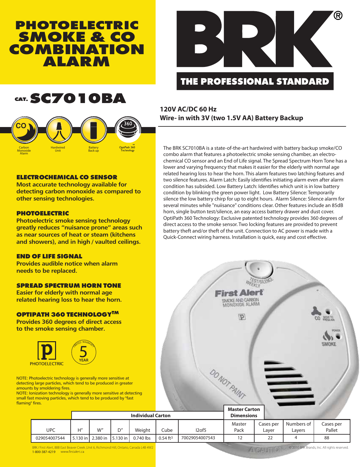### **PHOTOELECTRIC SMOKE & CO COMBINATION ALARM**



### **THE PROFESSIONAL STANDARD**

## **CAT.SC7010BA**



#### **ELECTROCHEMICAL CO SENSOR**

**Most accurate technology available for detecting carbon monoxide as compared to other sensing technologies.**

#### **PHOTOELECTRIC**

**Photoelectric smoke sensing technology greatly reduces "nuisance prone" areas such as near sources of heat or steam (kitchens and showers), and in high / vaulted ceilings.**

#### **END OF LIFE SIGNAL**

**Provides audible notice when alarm needs to be replaced.**

#### **SPREAD SPECTRUM HORN TONE**

**Easier for elderly with normal age related hearing loss to hear the horn.**

#### **OPTIPATH 360 TECHNOLOGYTM**

**Provides 360 degrees of direct access to the smoke sensing chamber.**



NOTE: Photoelectric technology is generally more sensitive at detecting large particles, which tend to be produced in greater amounts by smoldering fires.

NOTE: Ionization technology is generally more sensitive at detecting small fast moving particles, which tend to be produced by "fast flaming" fires.

**120V AC/DC 60 Hz Wire- in with 3V (two 1.5V AA) Battery Backup**

The BRK SC7010BA is a state-of-the-art hardwired with battery backup smoke/CO combo alarm that features a photoelectric smoke sensing chamber, an electrochemical CO sensor and an End of Life signal. The Spread Spectrum Horn Tone has a lower and varying frequency that makes it easier for the elderly with normal age related hearing loss to hear the horn. This alarm features two latching features and two silence features. Alarm Latch: Easily identifies initiating alarm even after alarm condition has subsided. Low Battery Latch: Identifies which unit is in low battery condition by blinking the green power light. Low Battery Silence: Temporarily silence the low battery chirp for up to eight hours. Alarm Silence: Silence alarm for several minutes while "nuiisance" conditions clear. Other features include an 85dB horn, single button test/silence, an easy access battery drawer and dust cover. OptiPath 360 Technology: Exclusive patented technology provides 360 degrees of direct access to the smoke sensor. Two locking features are provided to prevent battery theft and/or theft of the unit. Connection to AC power is made with a Quick-Connect wiring harness. Installation is quick, easy and cost effective.



BRK / First Alert, 88B East Beaver Creek ,Unit 6, Richmond Hill, Ontario, Canada L4B 4W2 1-800-387-4219 www.firstalert.ca

© 2010 BRK Brands, Inc. All rights reserved. **ANDANTING**